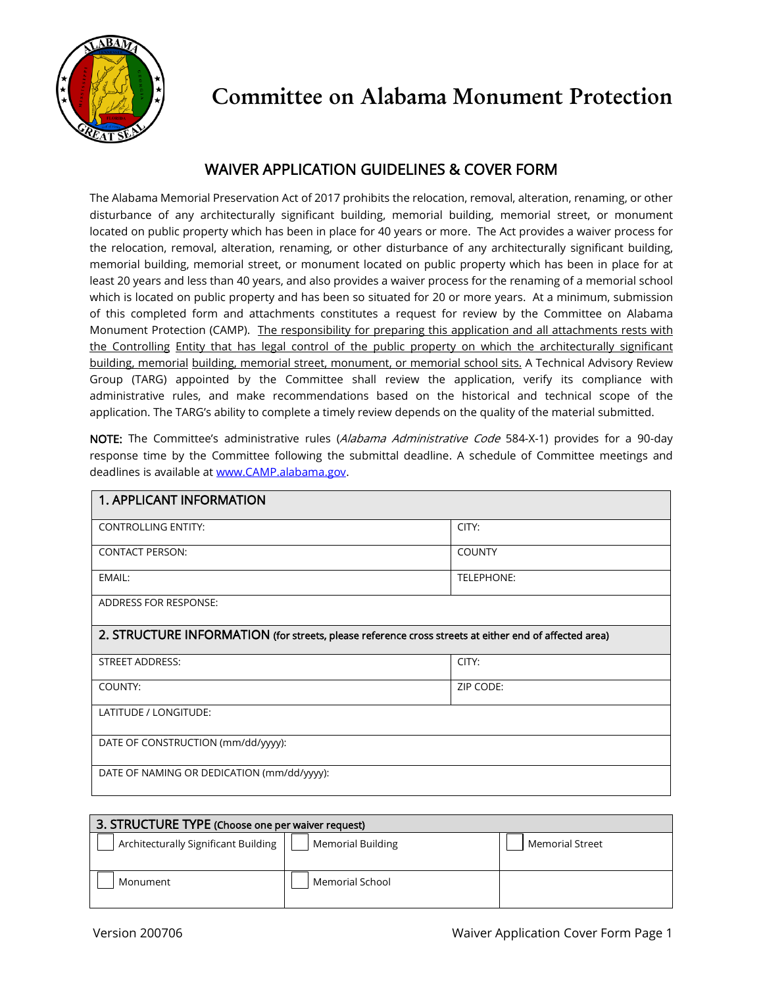

## WAIVER APPLICATION GUIDELINES & COVER FORM

The Alabama Memorial Preservation Act of 2017 prohibits the relocation, removal, alteration, renaming, or other disturbance of any architecturally significant building, memorial building, memorial street, or monument located on public property which has been in place for 40 years or more. The Act provides a waiver process for the relocation, removal, alteration, renaming, or other disturbance of any architecturally significant building, memorial building, memorial street, or monument located on public property which has been in place for at least 20 years and less than 40 years, and also provides a waiver process for the renaming of a memorial school which is located on public property and has been so situated for 20 or more years. At a minimum, submission of this completed form and attachments constitutes a request for review by the Committee on Alabama Monument Protection (CAMP). The responsibility for preparing this application and all attachments rests with the Controlling Entity that has legal control of the public property on which the architecturally significant building, memorial building, memorial street, monument, or memorial school sits. A Technical Advisory Review Group (TARG) appointed by the Committee shall review the application, verify its compliance with administrative rules, and make recommendations based on the historical and technical scope of the application. The TARG's ability to complete a timely review depends on the quality of the material submitted.

NOTE: The Committee's administrative rules (Alabama Administrative Code 584-X-1) provides for a 90-day response time by the Committee following the submittal deadline. A schedule of Committee meetings and deadlines is available a[t www.CAMP.alabama.gov.](http://www.camp.alabama.gov/)

| <b>1. APPLICANT INFORMATION</b>                                                                       |               |  |
|-------------------------------------------------------------------------------------------------------|---------------|--|
| <b>CONTROLLING ENTITY:</b>                                                                            | CITY:         |  |
| <b>CONTACT PERSON:</b>                                                                                | <b>COUNTY</b> |  |
| EMAIL:                                                                                                | TELEPHONE:    |  |
| <b>ADDRESS FOR RESPONSE:</b>                                                                          |               |  |
| 2. STRUCTURE INFORMATION (for streets, please reference cross streets at either end of affected area) |               |  |
| <b>STREET ADDRESS:</b>                                                                                | CITY:         |  |
| COUNTY:                                                                                               | ZIP CODE:     |  |
| LATITUDE / LONGITUDE:                                                                                 |               |  |
| DATE OF CONSTRUCTION (mm/dd/yyyy):                                                                    |               |  |
| DATE OF NAMING OR DEDICATION (mm/dd/yyyy):                                                            |               |  |

| 3. STRUCTURE TYPE (Choose one per waiver request) |                          |                        |  |  |
|---------------------------------------------------|--------------------------|------------------------|--|--|
| Architecturally Significant Building              | <b>Memorial Building</b> | <b>Memorial Street</b> |  |  |
| Monument                                          | Memorial School          |                        |  |  |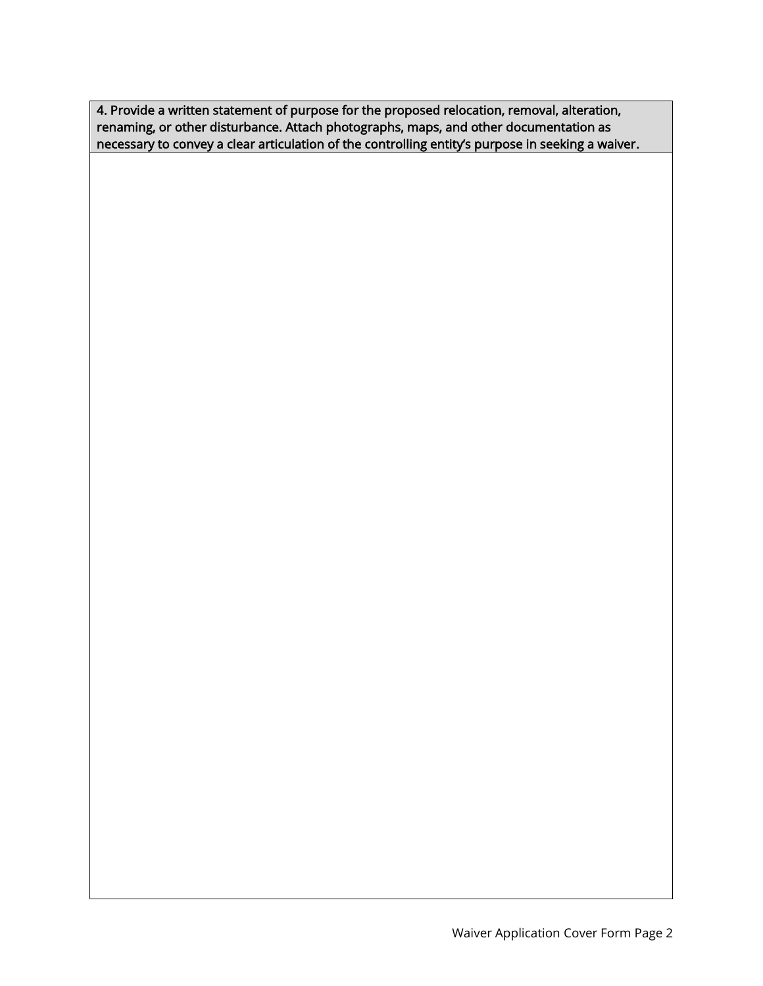4. Provide a written statement of purpose for the proposed relocation, removal, alteration, renaming, or other disturbance. Attach photographs, maps, and other documentation as necessary to convey a clear articulation of the controlling entity's purpose in seeking a waiver.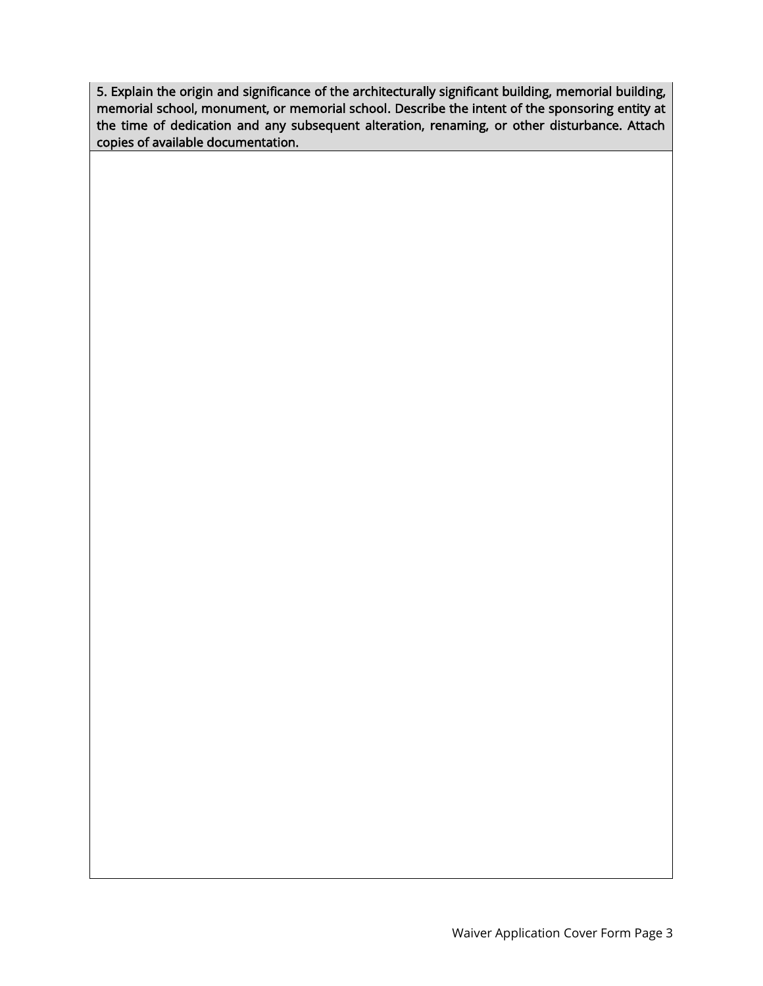5. Explain the origin and significance of the architecturally significant building, memorial building, memorial school, monument, or memorial school. Describe the intent of the sponsoring entity at the time of dedication and any subsequent alteration, renaming, or other disturbance. Attach copies of available documentation.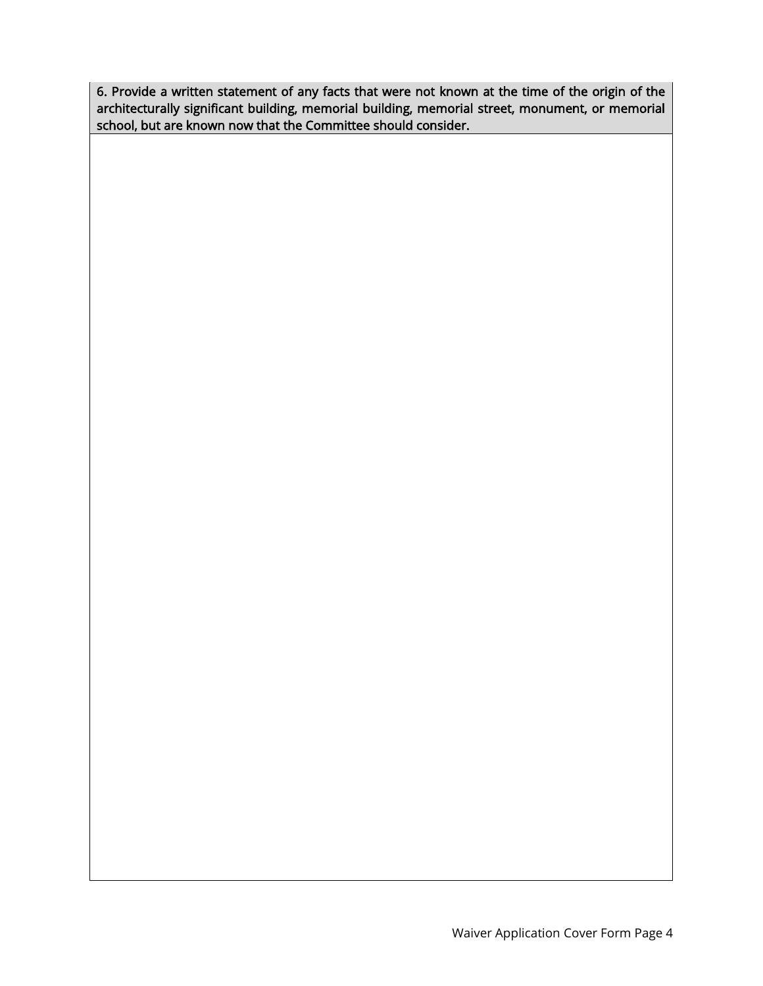6. Provide a written statement of any facts that were not known at the time of the origin of the architecturally significant building, memorial building, memorial street, monument, or memorial school, but are known now that the Committee should consider.